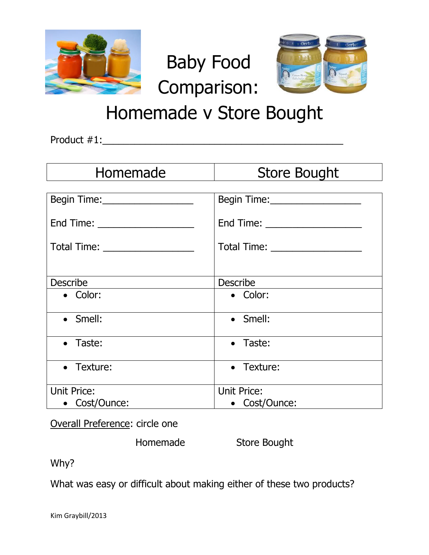



## Homemade v Store Bought

Baby Food

Comparison:

Product #1:\_\_\_\_\_\_\_\_\_\_\_\_\_\_\_\_\_\_\_\_\_\_\_\_\_\_\_\_\_\_\_\_\_\_\_\_\_\_\_\_\_\_\_\_\_

| Homemade                                               | <b>Store Bought</b>                                    |
|--------------------------------------------------------|--------------------------------------------------------|
|                                                        | Begin Time: ____________________                       |
| End Time: _____________________                        | End Time: ______________________                       |
| Total Time: ___________________                        | Total Time: ____________________                       |
|                                                        |                                                        |
|                                                        |                                                        |
| • Color:                                               | • Color:                                               |
| • Smell:                                               | • Smell:                                               |
| • Taste:                                               | • Taste:                                               |
| • Texture:                                             | • Texture:                                             |
|                                                        |                                                        |
|                                                        |                                                        |
| <b>Describe</b><br><b>Unit Price:</b><br>• Cost/Ounce: | <b>Describe</b><br><b>Unit Price:</b><br>• Cost/Ounce: |

Overall Preference: circle one

Homemade Store Bought

Why?

What was easy or difficult about making either of these two products?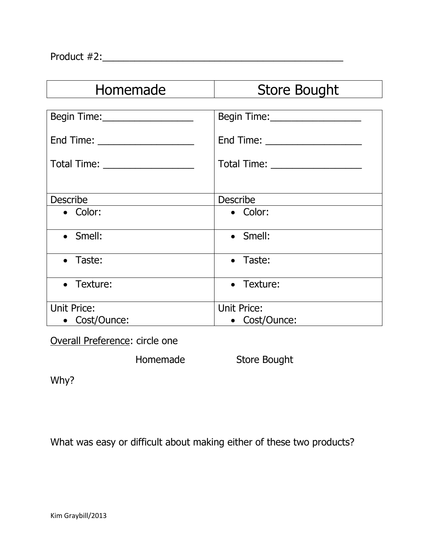| Homemade                         | <b>Store Bought</b>              |
|----------------------------------|----------------------------------|
|                                  |                                  |
| Begin Time:___________________   | Begin Time: ____________________ |
| End Time: ______________________ |                                  |
|                                  | Total Time: ___________________  |
|                                  |                                  |
| <b>Describe</b>                  | <b>Describe</b>                  |
| • Color:                         | • Color:                         |
| • Smell:                         | • Smell:                         |
| • Taste:                         | • Taste:                         |
| • Texture:                       | • Texture:                       |
| <b>Unit Price:</b>               | <b>Unit Price:</b>               |
| • Cost/Ounce:                    | • Cost/Ounce:                    |

Overall Preference: circle one

Homemade Store Bought

Why?

What was easy or difficult about making either of these two products?